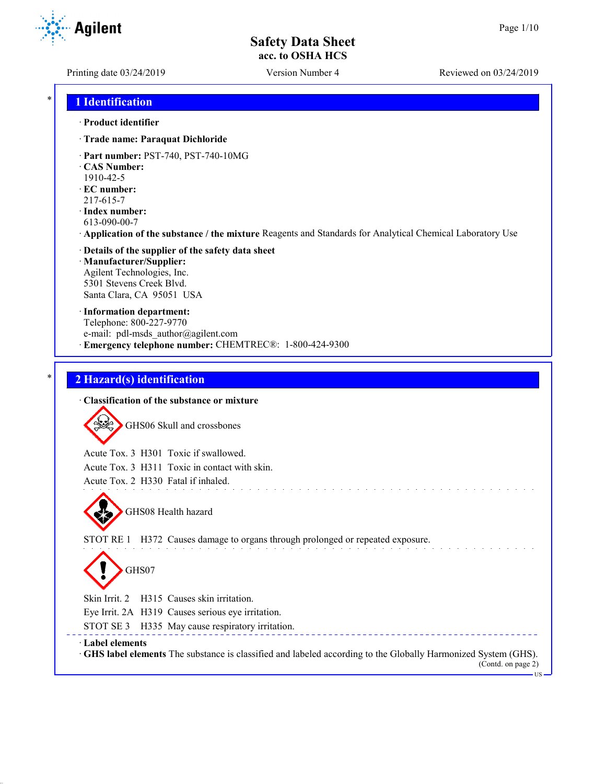Printing date 03/24/2019 Version Number 4 Reviewed on 03/24/2019

## \* **1 Identification**

#### · **Product identifier**

- · **Trade name: Paraquat Dichloride**
- · **Part number:** PST-740, PST-740-10MG
- · **CAS Number:**
- 1910-42-5
- · **EC number:**
- 217-615-7

 $=$   $-$ 

- · **Index number:** 613-090-00-7
- · **Application of the substance / the mixture** Reagents and Standards for Analytical Chemical Laboratory Use

#### · **Details of the supplier of the safety data sheet** · **Manufacturer/Supplier:** Agilent Technologies, Inc. 5301 Stevens Creek Blvd. Santa Clara, CA 95051 USA

· **Information department:** Telephone: 800-227-9770 e-mail: pdl-msds author@agilent.com · **Emergency telephone number:** CHEMTREC®: 1-800-424-9300

### \* **2 Hazard(s) identification**

| · Classification of the substance or mixture                                                                                                                            |
|-------------------------------------------------------------------------------------------------------------------------------------------------------------------------|
| GHS06 Skull and crossbones                                                                                                                                              |
| Acute Tox. 3 H301 Toxic if swallowed.                                                                                                                                   |
| Acute Tox. 3 H311 Toxic in contact with skin.                                                                                                                           |
| Acute Tox. 2 H330 Fatal if inhaled.                                                                                                                                     |
| GHS08 Health hazard<br>STOT RE 1<br>H372 Causes damage to organs through prolonged or repeated exposure.<br>GHS07                                                       |
| Skin Irrit. 2<br>H315 Causes skin irritation.                                                                                                                           |
| Eye Irrit. 2A H319 Causes serious eye irritation.                                                                                                                       |
| STOT SE 3 H335 May cause respiratory irritation.                                                                                                                        |
| Label elements<br>GHS label elements The substance is classified and labeled according to the Globally Harmonized System (GHS).<br>(Contd. on page 2)<br>$\cdot$ US $-$ |

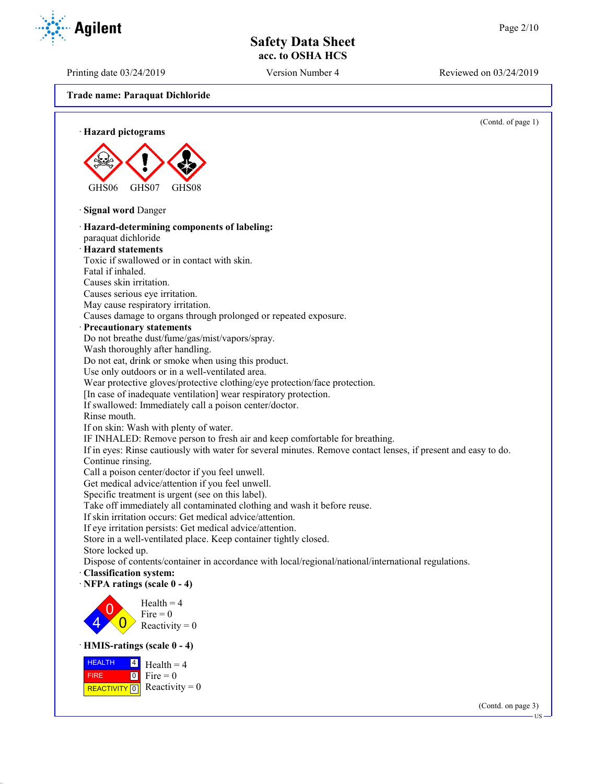Printing date 03/24/2019 Version Number 4 Reviewed on 03/24/2019

**Trade name: Paraquat Dichloride**



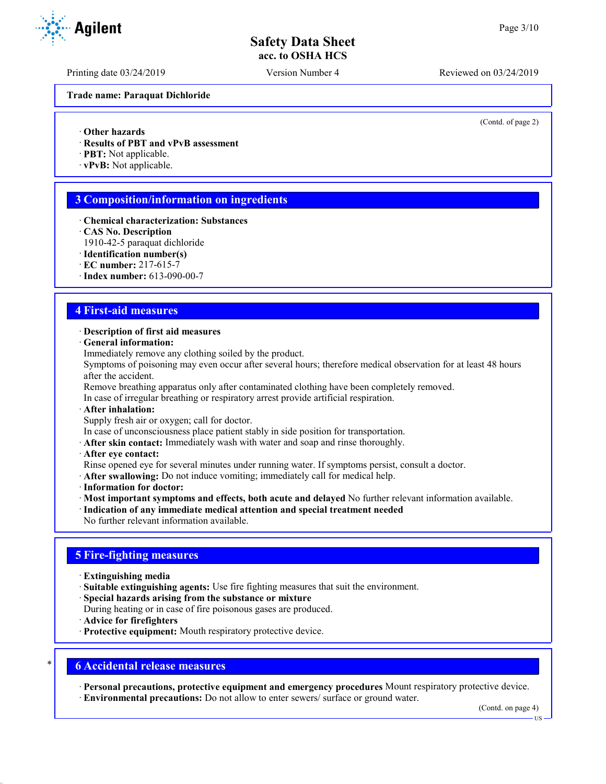Printing date 03/24/2019 Version Number 4 Reviewed on 03/24/2019

**Trade name: Paraquat Dichloride**

(Contd. of page 2)

· **Other hazards**

- · **Results of PBT and vPvB assessment**
- · **PBT:** Not applicable.
- · **vPvB:** Not applicable.

## **3 Composition/information on ingredients**

- · **Chemical characterization: Substances**
- · **CAS No. Description**
- 1910-42-5 paraquat dichloride
- · **Identification number(s)**
- · **EC number:** 217-615-7
- · **Index number:** 613-090-00-7

#### **4 First-aid measures**

#### · **Description of first aid measures**

- · **General information:**
- Immediately remove any clothing soiled by the product.

Symptoms of poisoning may even occur after several hours; therefore medical observation for at least 48 hours after the accident.

Remove breathing apparatus only after contaminated clothing have been completely removed.

In case of irregular breathing or respiratory arrest provide artificial respiration.

· **After inhalation:**

Supply fresh air or oxygen; call for doctor.

In case of unconsciousness place patient stably in side position for transportation.

- · **After skin contact:** Immediately wash with water and soap and rinse thoroughly.
- · **After eye contact:**

Rinse opened eye for several minutes under running water. If symptoms persist, consult a doctor.

- · **After swallowing:** Do not induce vomiting; immediately call for medical help.
- · **Information for doctor:**
- · **Most important symptoms and effects, both acute and delayed** No further relevant information available.
- · **Indication of any immediate medical attention and special treatment needed**
- No further relevant information available.

### **5 Fire-fighting measures**

- · **Extinguishing media**
- · **Suitable extinguishing agents:** Use fire fighting measures that suit the environment.
- · **Special hazards arising from the substance or mixture**
- During heating or in case of fire poisonous gases are produced.
- · **Advice for firefighters**
- · **Protective equipment:** Mouth respiratory protective device.

#### \* **6 Accidental release measures**

· **Personal precautions, protective equipment and emergency procedures** Mount respiratory protective device. · **Environmental precautions:** Do not allow to enter sewers/ surface or ground water.

(Contd. on page 4)

**TIS** 

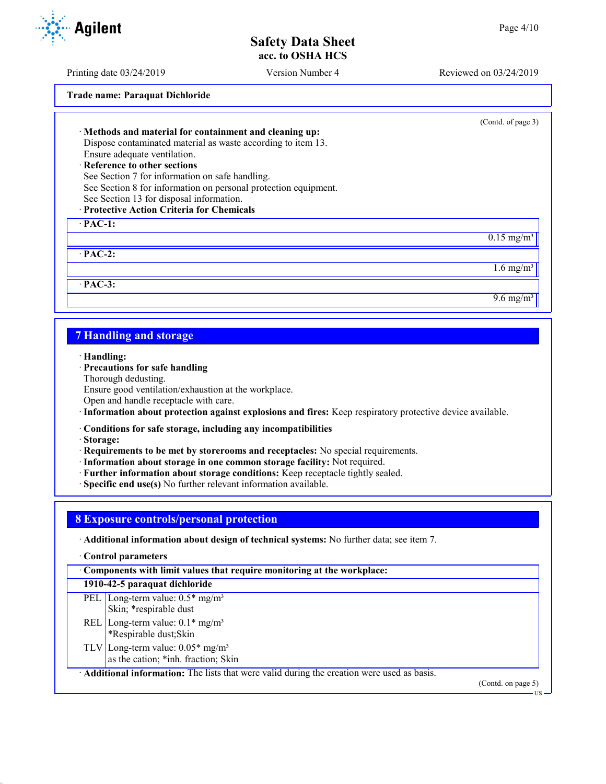Printing date 03/24/2019 Version Number 4 Reviewed on 03/24/2019

**Trade name: Paraquat Dichloride**

| · Methods and material for containment and cleaning up:<br>Dispose contaminated material as waste according to item 13.<br>Ensure adequate ventilation.<br>· Reference to other sections<br>See Section 7 for information on safe handling.<br>See Section 8 for information on personal protection equipment.<br>See Section 13 for disposal information.<br>· Protective Action Criteria for Chemicals | (Contd. of page 3)       |
|----------------------------------------------------------------------------------------------------------------------------------------------------------------------------------------------------------------------------------------------------------------------------------------------------------------------------------------------------------------------------------------------------------|--------------------------|
| $\cdot$ PAC-1:                                                                                                                                                                                                                                                                                                                                                                                           |                          |
|                                                                                                                                                                                                                                                                                                                                                                                                          | $0.15$ mg/m <sup>3</sup> |
| $\cdot$ PAC-2:                                                                                                                                                                                                                                                                                                                                                                                           |                          |
|                                                                                                                                                                                                                                                                                                                                                                                                          | $1.6 \text{ mg/m}^3$     |
| $·$ PAC-3:                                                                                                                                                                                                                                                                                                                                                                                               |                          |
|                                                                                                                                                                                                                                                                                                                                                                                                          | $9.6 \text{ mg/m}^3$     |
|                                                                                                                                                                                                                                                                                                                                                                                                          |                          |
|                                                                                                                                                                                                                                                                                                                                                                                                          |                          |

## **7 Handling and storage**

· **Handling:**

#### · **Precautions for safe handling**

Thorough dedusting.

Ensure good ventilation/exhaustion at the workplace.

Open and handle receptacle with care.

· **Information about protection against explosions and fires:** Keep respiratory protective device available.

· **Conditions for safe storage, including any incompatibilities**

· **Storage:**

· **Requirements to be met by storerooms and receptacles:** No special requirements.

- · **Information about storage in one common storage facility:** Not required.
- · **Further information about storage conditions:** Keep receptacle tightly sealed.
- · **Specific end use(s)** No further relevant information available.

### **8 Exposure controls/personal protection**

· **Additional information about design of technical systems:** No further data; see item 7.

· **Control parameters**

| Components with limit values that require monitoring at the workplace:                    |                           |
|-------------------------------------------------------------------------------------------|---------------------------|
| 1910-42-5 paraquat dichloride                                                             |                           |
| PEL Long-term value: $0.5*$ mg/m <sup>3</sup><br>Skin; *respirable dust                   |                           |
| REL Long-term value: $0.1*$ mg/m <sup>3</sup><br><sup>8</sup> Respirable dust; Skin       |                           |
| TLV Long-term value: $0.05*$ mg/m <sup>3</sup><br>as the cation; *inh. fraction; Skin     |                           |
| Additional information: The lists that were valid during the creation were used as basis. |                           |
|                                                                                           | $(C_{\alpha}$ ntd on nage |

(Contd. on page 5)

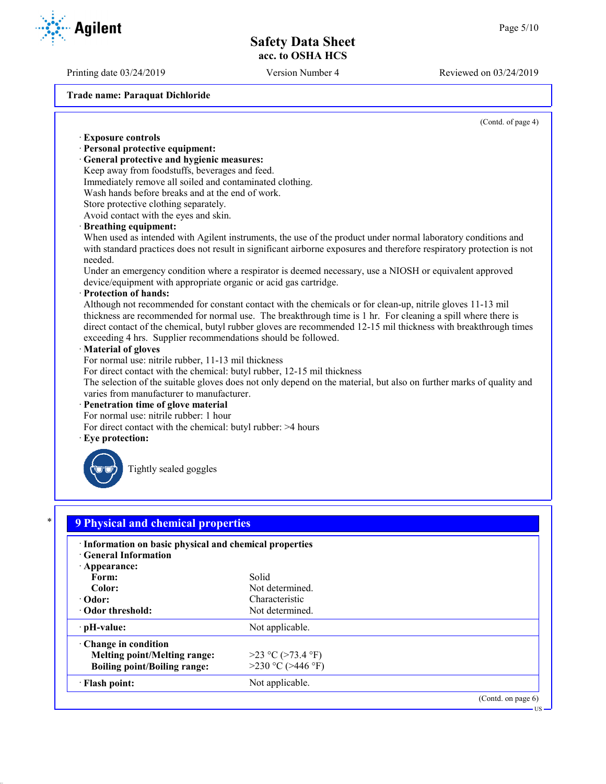Printing date 03/24/2019 Version Number 4 Reviewed on 03/24/2019

**Trade name: Paraquat Dichloride**

(Contd. of page 4)

US

# · **Exposure controls** · **Personal protective equipment:** · **General protective and hygienic measures:** Keep away from foodstuffs, beverages and feed. Immediately remove all soiled and contaminated clothing. Wash hands before breaks and at the end of work. Store protective clothing separately. Avoid contact with the eyes and skin. · **Breathing equipment:** When used as intended with Agilent instruments, the use of the product under normal laboratory conditions and with standard practices does not result in significant airborne exposures and therefore respiratory protection is not needed. Under an emergency condition where a respirator is deemed necessary, use a NIOSH or equivalent approved device/equipment with appropriate organic or acid gas cartridge. · **Protection of hands:** Although not recommended for constant contact with the chemicals or for clean-up, nitrile gloves 11-13 mil thickness are recommended for normal use. The breakthrough time is 1 hr. For cleaning a spill where there is direct contact of the chemical, butyl rubber gloves are recommended 12-15 mil thickness with breakthrough times exceeding 4 hrs. Supplier recommendations should be followed. · **Material of gloves** For normal use: nitrile rubber, 11-13 mil thickness For direct contact with the chemical: butyl rubber, 12-15 mil thickness The selection of the suitable gloves does not only depend on the material, but also on further marks of quality and varies from manufacturer to manufacturer. · **Penetration time of glove material** For normal use: nitrile rubber: 1 hour For direct contact with the chemical: butyl rubber: >4 hours · **Eye protection:** Tightly sealed goggles

| Information on basic physical and chemical properties<br><b>Ceneral Information</b> |                        |  |
|-------------------------------------------------------------------------------------|------------------------|--|
| · Appearance:                                                                       |                        |  |
| Form:                                                                               | Solid                  |  |
| Color:                                                                              | Not determined.        |  |
| · Odor:                                                                             | Characteristic         |  |
| Odor threshold:                                                                     | Not determined.        |  |
| $\cdot$ pH-value:                                                                   | Not applicable.        |  |
| $\cdot$ Change in condition                                                         |                        |  |
| Melting point/Melting range:                                                        | $>23$ °C ( $>73.4$ °F) |  |
| <b>Boiling point/Boiling range:</b>                                                 | $>230$ °C ( $>446$ °F) |  |
| · Flash point:                                                                      | Not applicable.        |  |

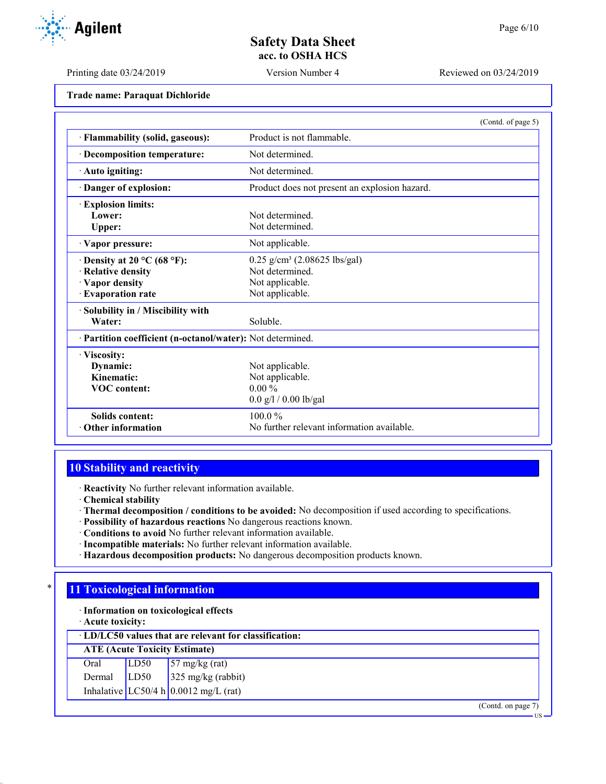US

## **Safety Data Sheet acc. to OSHA HCS**

Printing date 03/24/2019 Version Number 4 Reviewed on 03/24/2019

**Trade name: Paraquat Dichloride**

|                                                            | (Contd. of page 5)                            |  |
|------------------------------------------------------------|-----------------------------------------------|--|
| · Flammability (solid, gaseous):                           | Product is not flammable.                     |  |
| · Decomposition temperature:                               | Not determined.                               |  |
| · Auto igniting:                                           | Not determined.                               |  |
| · Danger of explosion:                                     | Product does not present an explosion hazard. |  |
| <b>Explosion limits:</b>                                   |                                               |  |
| Lower:                                                     | Not determined.                               |  |
| Upper:                                                     | Not determined.                               |  |
| · Vapor pressure:                                          | Not applicable.                               |  |
| $\cdot$ Density at 20 °C (68 °F):                          | $0.25$ g/cm <sup>3</sup> (2.08625 lbs/gal)    |  |
| · Relative density                                         | Not determined.                               |  |
| · Vapor density                                            | Not applicable.                               |  |
| · Evaporation rate                                         | Not applicable.                               |  |
| · Solubility in / Miscibility with                         |                                               |  |
| Water:                                                     | Soluble.                                      |  |
| · Partition coefficient (n-octanol/water): Not determined. |                                               |  |
| · Viscosity:                                               |                                               |  |
| Dynamic:                                                   | Not applicable.                               |  |
| Kinematic:                                                 | Not applicable.                               |  |
| <b>VOC</b> content:                                        | $0.00\%$                                      |  |
|                                                            | $0.0$ g/l / 0.00 lb/gal                       |  |
| <b>Solids content:</b>                                     | $100.0\%$                                     |  |
| $\cdot$ Other information                                  | No further relevant information available.    |  |

# **10 Stability and reactivity**

· **Reactivity** No further relevant information available.

- · **Chemical stability**
- · **Thermal decomposition / conditions to be avoided:** No decomposition if used according to specifications.
- · **Possibility of hazardous reactions** No dangerous reactions known.
- · **Conditions to avoid** No further relevant information available.
- · **Incompatible materials:** No further relevant information available.
- · **Hazardous decomposition products:** No dangerous decomposition products known.

## **11 Toxicological information**

· **Information on toxicological effects**

· **Acute toxicity:**

|        |      | $\cdot$ LD/LC50 values that are relevant for classification: |
|--------|------|--------------------------------------------------------------|
|        |      | <b>ATE (Acute Toxicity Estimate)</b>                         |
| Oral   | LD50 | $57 \text{ mg/kg}$ (rat)                                     |
| Dermal | LD50 | $325 \text{ mg/kg}$ (rabbit)                                 |
|        |      | Inhalative LC50/4 h 0.0012 mg/L (rat)                        |
|        |      | (Contd. on page 7)                                           |

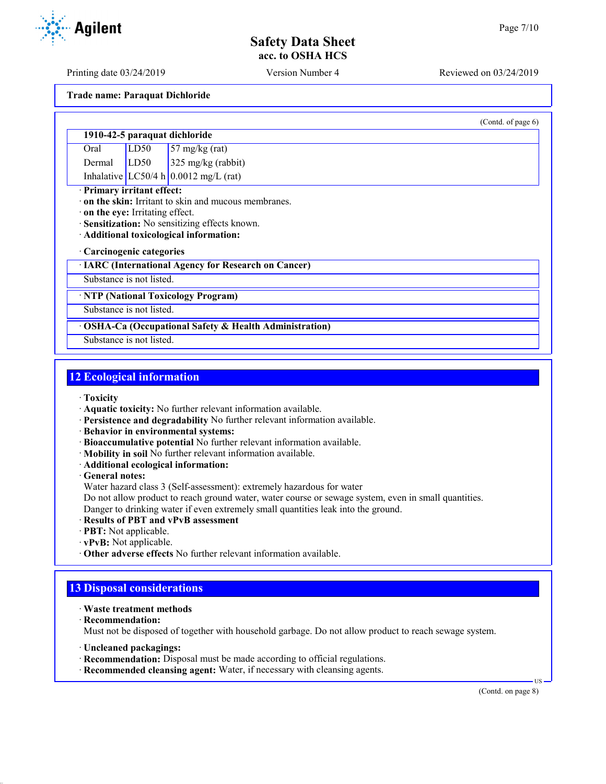(Contd. of page 6)

# **Safety Data Sheet acc. to OSHA HCS**

Printing date 03/24/2019 Version Number 4 Reviewed on 03/24/2019

**Trade name: Paraquat Dichloride**

### **1910-42-5 paraquat dichloride**

Oral LD50 57 mg/kg (rat) Dermal LD50 325 mg/kg (rabbit) Inhalative  $LC50/4 h 0.0012 mg/L (rat)$ 

### · **Primary irritant effect:**

· **on the skin:** Irritant to skin and mucous membranes.

- · **on the eye:** Irritating effect.
- · **Sensitization:** No sensitizing effects known.
- · **Additional toxicological information:**

#### · **Carcinogenic categories**

· **IARC (International Agency for Research on Cancer)**

### Substance is not listed.

· **NTP (National Toxicology Program)**

Substance is not listed.

### · **OSHA-Ca (Occupational Safety & Health Administration)**

Substance is not listed.

## **12 Ecological information**

- · **Toxicity**
- · **Aquatic toxicity:** No further relevant information available.
- · **Persistence and degradability** No further relevant information available.
- · **Behavior in environmental systems:**
- · **Bioaccumulative potential** No further relevant information available.
- · **Mobility in soil** No further relevant information available.
- · **Additional ecological information:**

· **General notes:**

Water hazard class 3 (Self-assessment): extremely hazardous for water

Do not allow product to reach ground water, water course or sewage system, even in small quantities.

Danger to drinking water if even extremely small quantities leak into the ground.

- · **Results of PBT and vPvB assessment**
- · **PBT:** Not applicable.
- · **vPvB:** Not applicable.
- · **Other adverse effects** No further relevant information available.

# **13 Disposal considerations**

- · **Waste treatment methods**
- · **Recommendation:**

Must not be disposed of together with household garbage. Do not allow product to reach sewage system.

- · **Uncleaned packagings:**
- · **Recommendation:** Disposal must be made according to official regulations.
- · **Recommended cleansing agent:** Water, if necessary with cleansing agents.

(Contd. on page 8)

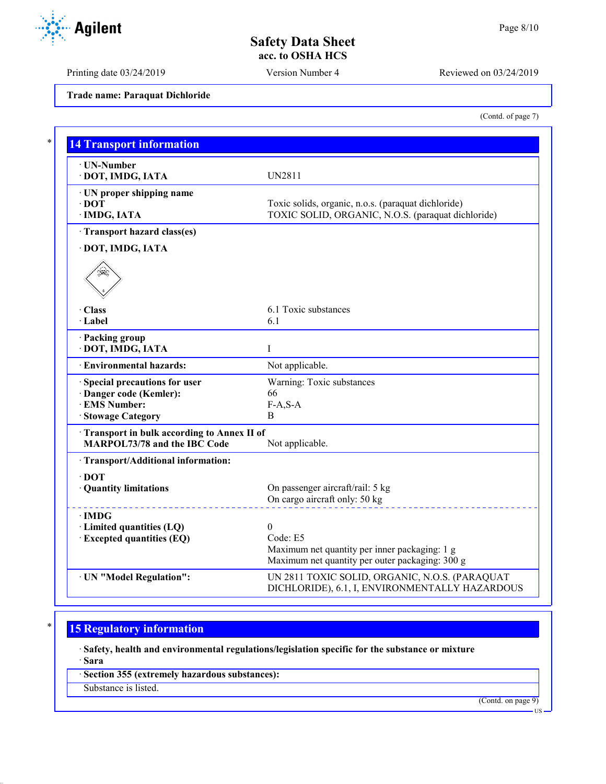(Contd. of page 7)

# **Safety Data Sheet acc. to OSHA HCS**

Printing date 03/24/2019 Version Number 4 Reviewed on 03/24/2019

**Trade name: Paraquat Dichloride**

| · UN-Number                                |                                                     |
|--------------------------------------------|-----------------------------------------------------|
| · DOT, IMDG, IATA                          | <b>UN2811</b>                                       |
| $\cdot$ UN proper shipping name            |                                                     |
| $\cdot$ DOT                                | Toxic solids, organic, n.o.s. (paraquat dichloride) |
| · IMDG, IATA                               | TOXIC SOLID, ORGANIC, N.O.S. (paraquat dichloride)  |
| · Transport hazard class(es)               |                                                     |
| · DOT, IMDG, IATA                          |                                                     |
|                                            |                                                     |
| · Class                                    | 6.1 Toxic substances                                |
| · Label                                    | 6.1                                                 |
| · Packing group                            |                                                     |
| · DOT, IMDG, IATA                          | I                                                   |
| · Environmental hazards:                   | Not applicable.                                     |
| · Special precautions for user             | Warning: Toxic substances                           |
| · Danger code (Kemler):                    | 66                                                  |
| · EMS Number:                              | $F-A, S-A$                                          |
| · Stowage Category                         | B                                                   |
| Transport in bulk according to Annex II of |                                                     |
| <b>MARPOL73/78 and the IBC Code</b>        | Not applicable.                                     |
| · Transport/Additional information:        |                                                     |
| $\cdot$ DOT                                |                                                     |
| · Quantity limitations                     | On passenger aircraft/rail: 5 kg                    |
|                                            | On cargo aircraft only: 50 kg                       |
| $\cdot$ IMDG                               |                                                     |
| · Limited quantities (LQ)                  | $\theta$                                            |
| · Excepted quantities (EQ)                 | Code: E5                                            |
|                                            | Maximum net quantity per inner packaging: 1 g       |
|                                            | Maximum net quantity per outer packaging: 300 g     |
| · UN "Model Regulation":                   | UN 2811 TOXIC SOLID, ORGANIC, N.O.S. (PARAQUAT      |
|                                            |                                                     |

# **15 Regulatory information**

· **Safety, health and environmental regulations/legislation specific for the substance or mixture**

· **Sara**

· **Section 355 (extremely hazardous substances):**

Substance is listed.

(Contd. on page 9)

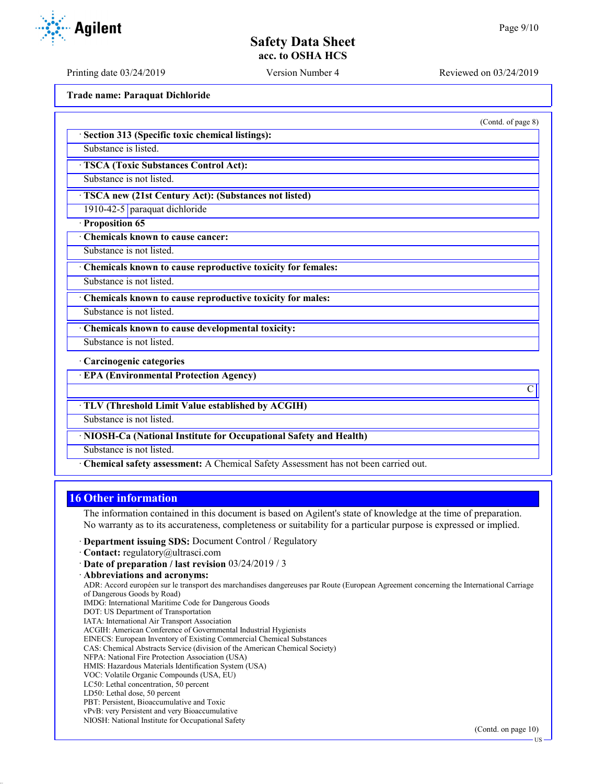(Contd. of page 8)

C

## **Safety Data Sheet acc. to OSHA HCS**

Printing date 03/24/2019 Version Number 4 Reviewed on 03/24/2019

**Trade name: Paraquat Dichloride**

· **Section 313 (Specific toxic chemical listings):**

Substance is listed.

· **TSCA (Toxic Substances Control Act):**

Substance is not listed.

· **TSCA new (21st Century Act): (Substances not listed)**

1910-42-5 paraquat dichloride

· **Proposition 65**

· **Chemicals known to cause cancer:**

Substance is not listed.

· **Chemicals known to cause reproductive toxicity for females:**

Substance is not listed.

· **Chemicals known to cause reproductive toxicity for males:**

Substance is not listed.

· **Chemicals known to cause developmental toxicity:**

Substance is not listed.

· **Carcinogenic categories**

· **EPA (Environmental Protection Agency)**

· **TLV (Threshold Limit Value established by ACGIH)**

Substance is not listed.

· **NIOSH-Ca (National Institute for Occupational Safety and Health)**

Substance is not listed.

· **Chemical safety assessment:** A Chemical Safety Assessment has not been carried out.

#### **16 Other information**

The information contained in this document is based on Agilent's state of knowledge at the time of preparation. No warranty as to its accurateness, completeness or suitability for a particular purpose is expressed or implied.

· **Department issuing SDS:** Document Control / Regulatory

· **Contact:** regulatory@ultrasci.com

· **Abbreviations and acronyms:**

ADR: Accord européen sur le transport des marchandises dangereuses par Route (European Agreement concerning the International Carriage of Dangerous Goods by Road) IMDG: International Maritime Code for Dangerous Goods

DOT: US Department of Transportation

IATA: International Air Transport Association ACGIH: American Conference of Governmental Industrial Hygienists

EINECS: European Inventory of Existing Commercial Chemical Substances

CAS: Chemical Abstracts Service (division of the American Chemical Society)

- NFPA: National Fire Protection Association (USA)
- HMIS: Hazardous Materials Identification System (USA)

VOC: Volatile Organic Compounds (USA, EU)

LC50: Lethal concentration, 50 percent

LD50: Lethal dose, 50 percent

PBT: Persistent, Bioaccumulative and Toxic

vPvB: very Persistent and very Bioaccumulative

NIOSH: National Institute for Occupational Safety



<sup>·</sup> **Date of preparation / last revision** 03/24/2019 / 3